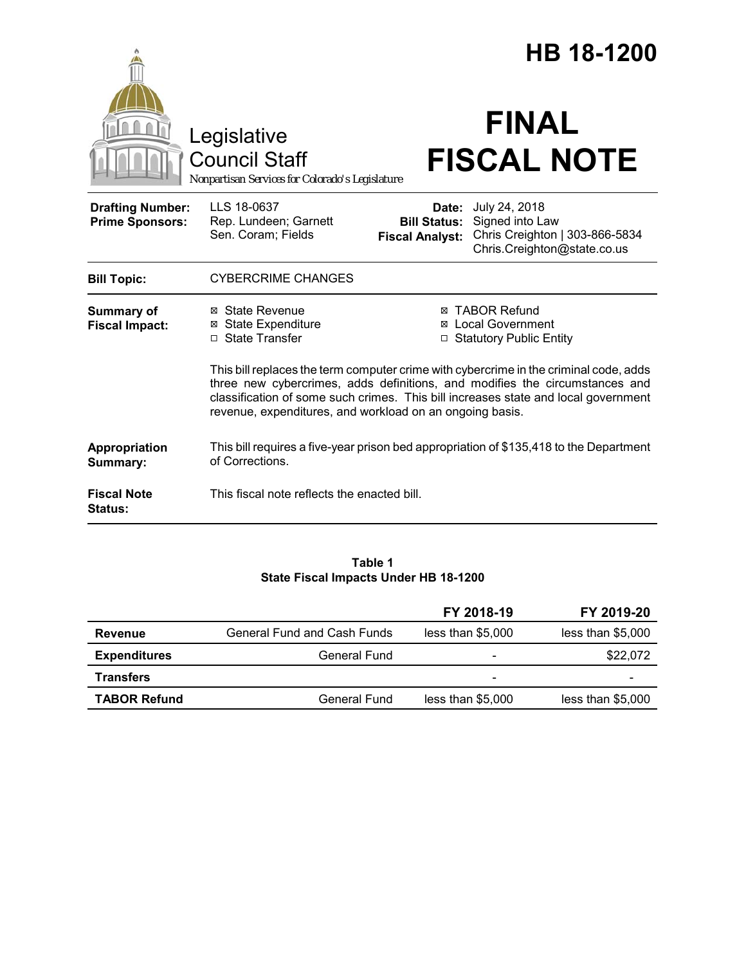|                                                                                        |                                                                                                                                                                                                                                                                                                                        | HB 18-1200                         |                                                                                                                       |  |
|----------------------------------------------------------------------------------------|------------------------------------------------------------------------------------------------------------------------------------------------------------------------------------------------------------------------------------------------------------------------------------------------------------------------|------------------------------------|-----------------------------------------------------------------------------------------------------------------------|--|
| Legislative<br><b>Council Staff</b><br>Nonpartisan Services for Colorado's Legislature |                                                                                                                                                                                                                                                                                                                        | <b>FINAL</b><br><b>FISCAL NOTE</b> |                                                                                                                       |  |
| <b>Drafting Number:</b><br><b>Prime Sponsors:</b>                                      | LLS 18-0637<br>Rep. Lundeen; Garnett<br>Sen. Coram; Fields                                                                                                                                                                                                                                                             | Date:<br><b>Fiscal Analyst:</b>    | July 24, 2018<br><b>Bill Status:</b> Signed into Law<br>Chris Creighton   303-866-5834<br>Chris.Creighton@state.co.us |  |
| <b>Bill Topic:</b>                                                                     | <b>CYBERCRIME CHANGES</b>                                                                                                                                                                                                                                                                                              |                                    |                                                                                                                       |  |
| <b>Summary of</b><br><b>Fiscal Impact:</b>                                             | ⊠ State Revenue<br><b>⊠ State Expenditure</b><br>□ State Transfer                                                                                                                                                                                                                                                      |                                    | <b>⊠ TABOR Refund</b><br><b>⊠</b> Local Government<br>□ Statutory Public Entity                                       |  |
|                                                                                        | This bill replaces the term computer crime with cybercrime in the criminal code, adds<br>three new cybercrimes, adds definitions, and modifies the circumstances and<br>classification of some such crimes. This bill increases state and local government<br>revenue, expenditures, and workload on an ongoing basis. |                                    |                                                                                                                       |  |
| Appropriation<br>Summary:                                                              | This bill requires a five-year prison bed appropriation of \$135,418 to the Department<br>of Corrections.                                                                                                                                                                                                              |                                    |                                                                                                                       |  |
| <b>Fiscal Note</b><br><b>Status:</b>                                                   | This fiscal note reflects the enacted bill.                                                                                                                                                                                                                                                                            |                                    |                                                                                                                       |  |

#### **Table 1 State Fiscal Impacts Under HB 18-1200**

|                     |                             | FY 2018-19        | FY 2019-20        |
|---------------------|-----------------------------|-------------------|-------------------|
| Revenue             | General Fund and Cash Funds | less than \$5,000 | less than \$5,000 |
| <b>Expenditures</b> | General Fund                | -                 | \$22,072          |
| <b>Transfers</b>    |                             | -                 |                   |
| <b>TABOR Refund</b> | General Fund                | less than \$5,000 | less than \$5,000 |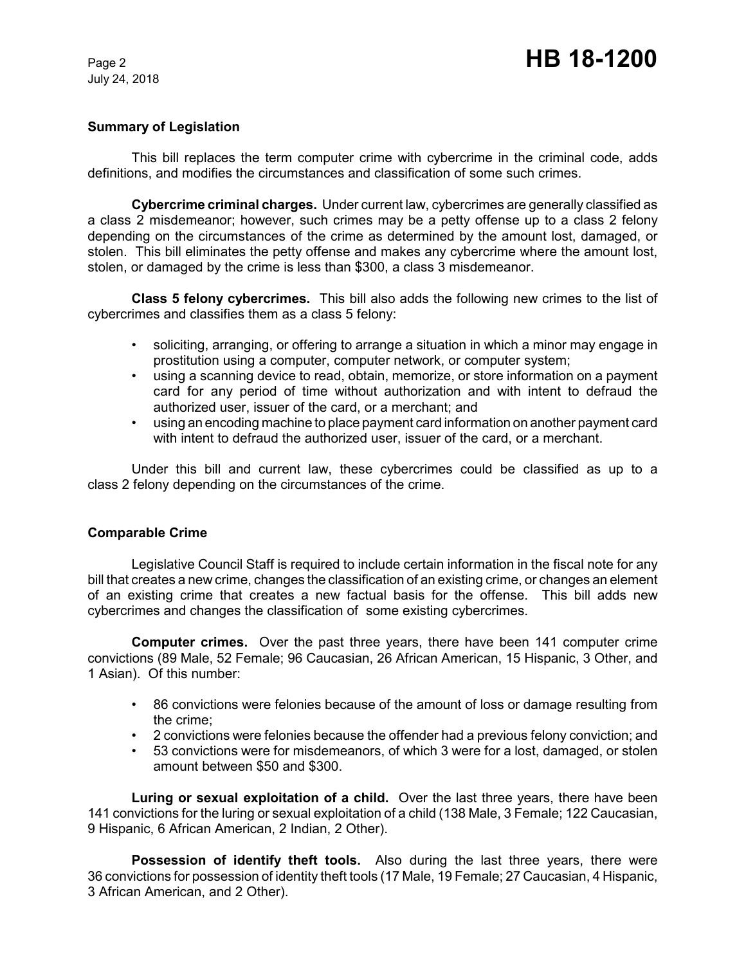# **Summary of Legislation**

This bill replaces the term computer crime with cybercrime in the criminal code, adds definitions, and modifies the circumstances and classification of some such crimes.

**Cybercrime criminal charges.** Under current law, cybercrimes are generally classified as a class 2 misdemeanor; however, such crimes may be a petty offense up to a class 2 felony depending on the circumstances of the crime as determined by the amount lost, damaged, or stolen. This bill eliminates the petty offense and makes any cybercrime where the amount lost, stolen, or damaged by the crime is less than \$300, a class 3 misdemeanor.

**Class 5 felony cybercrimes.** This bill also adds the following new crimes to the list of cybercrimes and classifies them as a class 5 felony:

- soliciting, arranging, or offering to arrange a situation in which a minor may engage in prostitution using a computer, computer network, or computer system;
- using a scanning device to read, obtain, memorize, or store information on a payment card for any period of time without authorization and with intent to defraud the authorized user, issuer of the card, or a merchant; and
- using an encoding machine to place payment card information on another payment card with intent to defraud the authorized user, issuer of the card, or a merchant.

Under this bill and current law, these cybercrimes could be classified as up to a class 2 felony depending on the circumstances of the crime.

## **Comparable Crime**

Legislative Council Staff is required to include certain information in the fiscal note for any bill that creates a new crime, changes the classification of an existing crime, or changes an element of an existing crime that creates a new factual basis for the offense. This bill adds new cybercrimes and changes the classification of some existing cybercrimes.

**Computer crimes.** Over the past three years, there have been 141 computer crime convictions (89 Male, 52 Female; 96 Caucasian, 26 African American, 15 Hispanic, 3 Other, and 1 Asian). Of this number:

- 86 convictions were felonies because of the amount of loss or damage resulting from the crime;
- 2 convictions were felonies because the offender had a previous felony conviction; and
- 53 convictions were for misdemeanors, of which 3 were for a lost, damaged, or stolen amount between \$50 and \$300.

**Luring or sexual exploitation of a child.** Over the last three years, there have been 141 convictions for the luring or sexual exploitation of a child (138 Male, 3 Female; 122 Caucasian, 9 Hispanic, 6 African American, 2 Indian, 2 Other).

**Possession of identify theft tools.** Also during the last three years, there were 36 convictions for possession of identity theft tools (17 Male, 19 Female; 27 Caucasian, 4 Hispanic, 3 African American, and 2 Other).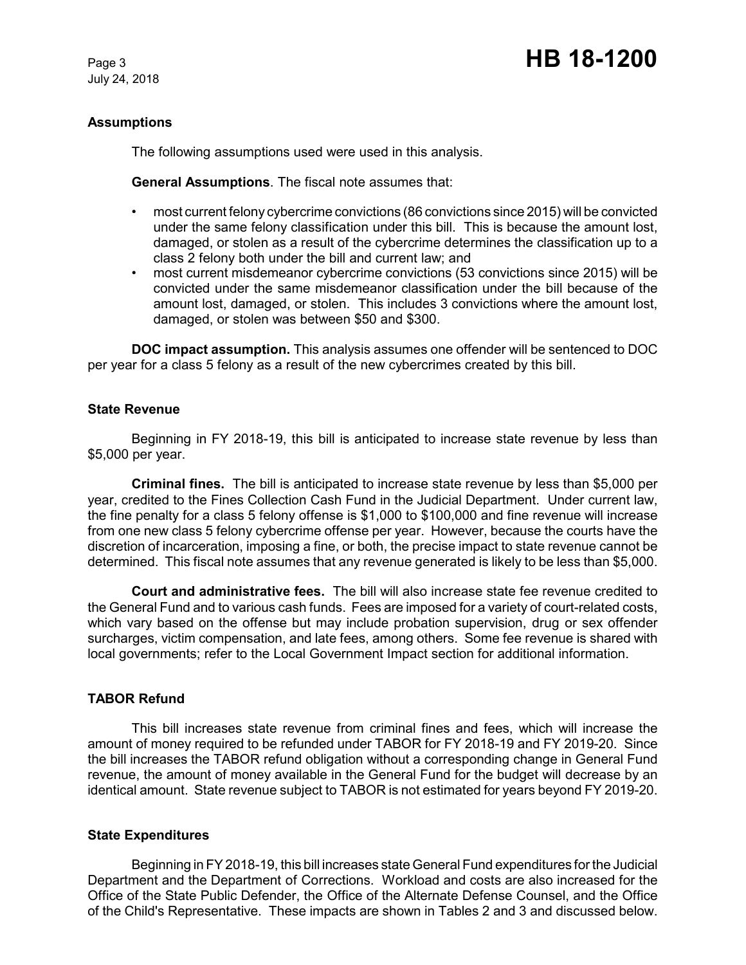# **Assumptions**

The following assumptions used were used in this analysis.

**General Assumptions**. The fiscal note assumes that:

- most current felony cybercrime convictions (86 convictions since 2015) will be convicted under the same felony classification under this bill. This is because the amount lost, damaged, or stolen as a result of the cybercrime determines the classification up to a class 2 felony both under the bill and current law; and
- most current misdemeanor cybercrime convictions (53 convictions since 2015) will be convicted under the same misdemeanor classification under the bill because of the amount lost, damaged, or stolen. This includes 3 convictions where the amount lost, damaged, or stolen was between \$50 and \$300.

**DOC impact assumption.** This analysis assumes one offender will be sentenced to DOC per year for a class 5 felony as a result of the new cybercrimes created by this bill.

#### **State Revenue**

Beginning in FY 2018-19, this bill is anticipated to increase state revenue by less than \$5,000 per year.

**Criminal fines.** The bill is anticipated to increase state revenue by less than \$5,000 per year, credited to the Fines Collection Cash Fund in the Judicial Department. Under current law, the fine penalty for a class 5 felony offense is \$1,000 to \$100,000 and fine revenue will increase from one new class 5 felony cybercrime offense per year. However, because the courts have the discretion of incarceration, imposing a fine, or both, the precise impact to state revenue cannot be determined. This fiscal note assumes that any revenue generated is likely to be less than \$5,000.

**Court and administrative fees.** The bill will also increase state fee revenue credited to the General Fund and to various cash funds. Fees are imposed for a variety of court-related costs, which vary based on the offense but may include probation supervision, drug or sex offender surcharges, victim compensation, and late fees, among others. Some fee revenue is shared with local governments; refer to the Local Government Impact section for additional information.

## **TABOR Refund**

This bill increases state revenue from criminal fines and fees, which will increase the amount of money required to be refunded under TABOR for FY 2018-19 and FY 2019-20. Since the bill increases the TABOR refund obligation without a corresponding change in General Fund revenue, the amount of money available in the General Fund for the budget will decrease by an identical amount. State revenue subject to TABOR is not estimated for years beyond FY 2019-20.

## **State Expenditures**

Beginning in FY 2018-19, this bill increases state General Fund expenditures for the Judicial Department and the Department of Corrections. Workload and costs are also increased for the Office of the State Public Defender, the Office of the Alternate Defense Counsel, and the Office of the Child's Representative. These impacts are shown in Tables 2 and 3 and discussed below.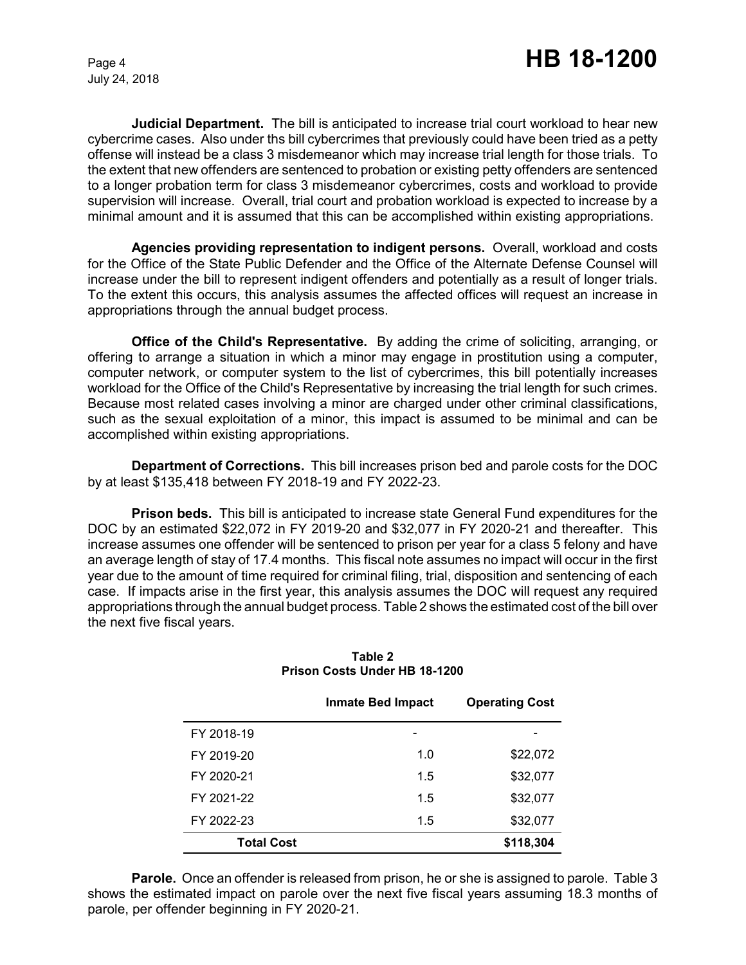**Judicial Department.** The bill is anticipated to increase trial court workload to hear new cybercrime cases. Also under ths bill cybercrimes that previously could have been tried as a petty offense will instead be a class 3 misdemeanor which may increase trial length for those trials. To the extent that new offenders are sentenced to probation or existing petty offenders are sentenced to a longer probation term for class 3 misdemeanor cybercrimes, costs and workload to provide supervision will increase. Overall, trial court and probation workload is expected to increase by a minimal amount and it is assumed that this can be accomplished within existing appropriations.

**Agencies providing representation to indigent persons.** Overall, workload and costs for the Office of the State Public Defender and the Office of the Alternate Defense Counsel will increase under the bill to represent indigent offenders and potentially as a result of longer trials. To the extent this occurs, this analysis assumes the affected offices will request an increase in appropriations through the annual budget process.

**Office of the Child's Representative.** By adding the crime of soliciting, arranging, or offering to arrange a situation in which a minor may engage in prostitution using a computer, computer network, or computer system to the list of cybercrimes, this bill potentially increases workload for the Office of the Child's Representative by increasing the trial length for such crimes. Because most related cases involving a minor are charged under other criminal classifications, such as the sexual exploitation of a minor, this impact is assumed to be minimal and can be accomplished within existing appropriations.

**Department of Corrections.** This bill increases prison bed and parole costs for the DOC by at least \$135,418 between FY 2018-19 and FY 2022-23.

**Prison beds.** This bill is anticipated to increase state General Fund expenditures for the DOC by an estimated \$22,072 in FY 2019-20 and \$32,077 in FY 2020-21 and thereafter. This increase assumes one offender will be sentenced to prison per year for a class 5 felony and have an average length of stay of 17.4 months. This fiscal note assumes no impact will occur in the first year due to the amount of time required for criminal filing, trial, disposition and sentencing of each case. If impacts arise in the first year, this analysis assumes the DOC will request any required appropriations through the annual budget process. Table 2 shows the estimated cost of the bill over the next five fiscal years.

|                   | <b>Inmate Bed Impact</b> | <b>Operating Cost</b> |
|-------------------|--------------------------|-----------------------|
| FY 2018-19        |                          |                       |
| FY 2019-20        | 1.0                      | \$22,072              |
| FY 2020-21        | 1.5                      | \$32,077              |
| FY 2021-22        | 1.5                      | \$32,077              |
| FY 2022-23        | 1.5                      | \$32,077              |
| <b>Total Cost</b> |                          | \$118,304             |

**Table 2 Prison Costs Under HB 18-1200**

**Parole.**Once an offender is released from prison, he or she is assigned to parole. Table 3 shows the estimated impact on parole over the next five fiscal years assuming 18.3 months of parole, per offender beginning in FY 2020-21.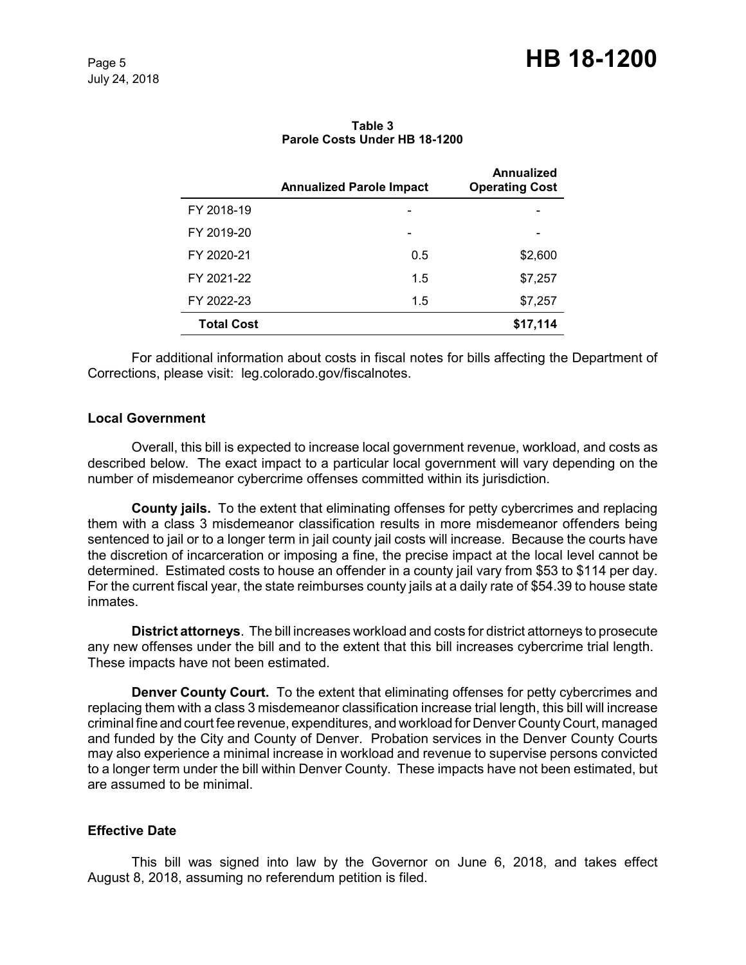|                   | <b>Annualized Parole Impact</b> | Annualized<br><b>Operating Cost</b> |
|-------------------|---------------------------------|-------------------------------------|
| FY 2018-19        |                                 |                                     |
| FY 2019-20        |                                 |                                     |
| FY 2020-21        | 0.5                             | \$2,600                             |
| FY 2021-22        | 1.5                             | \$7,257                             |
| FY 2022-23        | 1.5                             | \$7,257                             |
| <b>Total Cost</b> |                                 | \$17,114                            |

**Table 3 Parole Costs Under HB 18-1200**

For additional information about costs in fiscal notes for bills affecting the Department of Corrections, please visit: leg.colorado.gov/fiscalnotes.

## **Local Government**

Overall, this bill is expected to increase local government revenue, workload, and costs as described below. The exact impact to a particular local government will vary depending on the number of misdemeanor cybercrime offenses committed within its jurisdiction.

**County jails.** To the extent that eliminating offenses for petty cybercrimes and replacing them with a class 3 misdemeanor classification results in more misdemeanor offenders being sentenced to jail or to a longer term in jail county jail costs will increase. Because the courts have the discretion of incarceration or imposing a fine, the precise impact at the local level cannot be determined. Estimated costs to house an offender in a county jail vary from \$53 to \$114 per day. For the current fiscal year, the state reimburses county jails at a daily rate of \$54.39 to house state inmates.

**District attorneys**. The bill increases workload and costs for district attorneys to prosecute any new offenses under the bill and to the extent that this bill increases cybercrime trial length. These impacts have not been estimated.

**Denver County Court.** To the extent that eliminating offenses for petty cybercrimes and replacing them with a class 3 misdemeanor classification increase trial length, this bill will increase criminal fine and court fee revenue, expenditures, and workload for Denver County Court, managed and funded by the City and County of Denver. Probation services in the Denver County Courts may also experience a minimal increase in workload and revenue to supervise persons convicted to a longer term under the bill within Denver County. These impacts have not been estimated, but are assumed to be minimal.

## **Effective Date**

This bill was signed into law by the Governor on June 6, 2018, and takes effect August 8, 2018, assuming no referendum petition is filed.